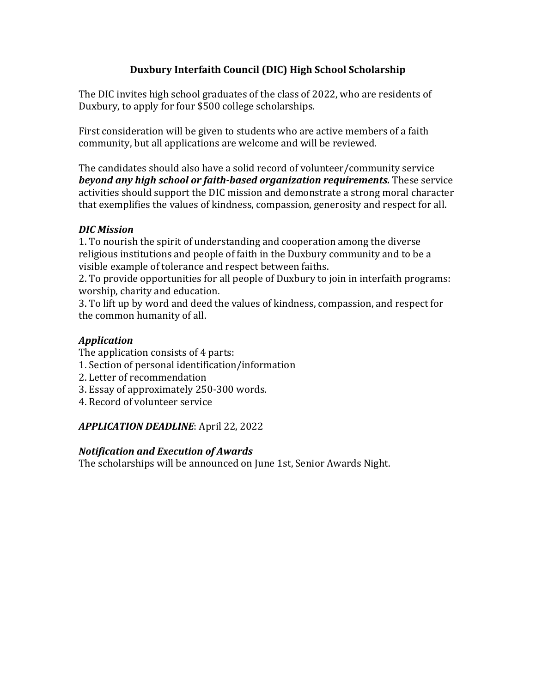# **Duxbury Interfaith Council (DIC) High School Scholarship**

The DIC invites high school graduates of the class of 2022, who are residents of Duxbury, to apply for four \$500 college scholarships.

First consideration will be given to students who are active members of a faith community, but all applications are welcome and will be reviewed.

The candidates should also have a solid record of volunteer/community service *beyond any high school or faith-based organization requirements.* **These service** activities should support the DIC mission and demonstrate a strong moral character that exemplifies the values of kindness, compassion, generosity and respect for all.

# *DIC Mission*

1. To nourish the spirit of understanding and cooperation among the diverse religious institutions and people of faith in the Duxbury community and to be a visible example of tolerance and respect between faiths.

2. To provide opportunities for all people of Duxbury to join in interfaith programs: worship, charity and education.

3. To lift up by word and deed the values of kindness, compassion, and respect for the common humanity of all.

# *Application*

The application consists of 4 parts:

- 1. Section of personal identification/information
- 2. Letter of recommendation
- 3. Essay of approximately 250-300 words.
- 4. Record of volunteer service

### *APPLICATION DEADLINE*: April 22, 2022

#### *Notification and Execution of Awards*

The scholarships will be announced on June 1st, Senior Awards Night.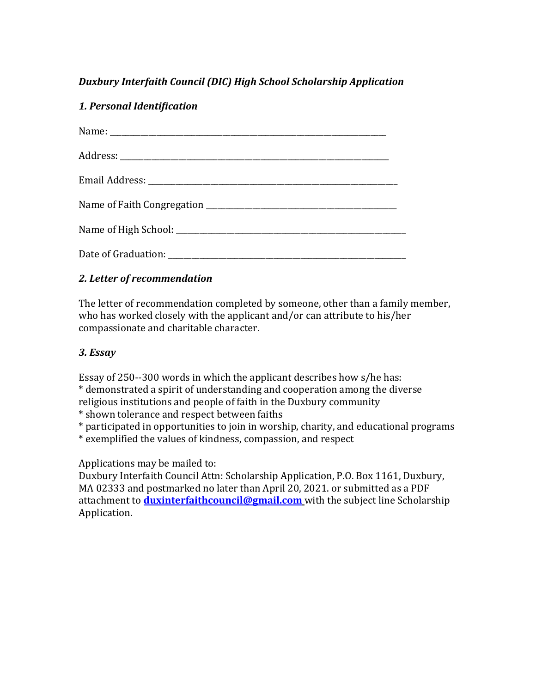# **Duxbury Interfaith Council (DIC) High School Scholarship Application**

### *1. Personal Identification*

### *2. Letter of recommendation*

The letter of recommendation completed by someone, other than a family member, who has worked closely with the applicant and/or can attribute to his/her compassionate and charitable character.

### *3. Essay*

Essay of  $250-300$  words in which the applicant describes how  $s/h$ e has:

\* demonstrated a spirit of understanding and cooperation among the diverse

religious institutions and people of faith in the Duxbury community

\* shown tolerance and respect between faiths

\* participated in opportunities to join in worship, charity, and educational programs

\* exemplified the values of kindness, compassion, and respect

Applications may be mailed to:

Duxbury Interfaith Council Attn: Scholarship Application, P.O. Box 1161, Duxbury, MA 02333 and postmarked no later than April 20, 2021. or submitted as a PDF attachment to **duxinterfaithcouncil@gmail.com** with the subject line Scholarship Application.